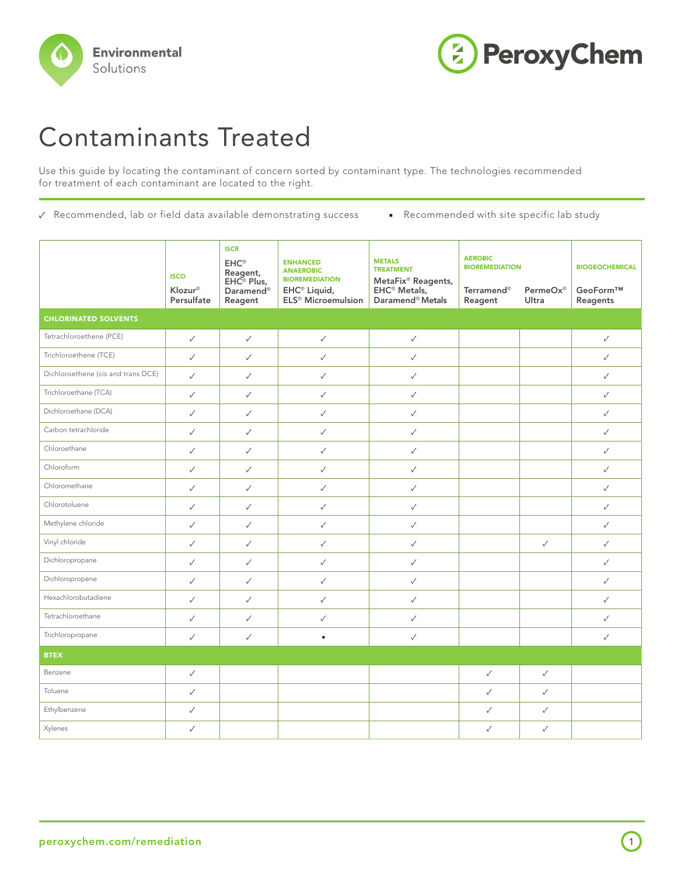



## Contaminants Treated

Use this guide by locating the contaminant of concern sorted by contaminant type. The technologies recommended for treatment of each contaminant are located to the right.

- ✓ Recommended, lab or field data available demonstrating success Recommended with site specific lab study
- 

|                                    | <b>ISCO</b><br>Klozur® | <b>ISCR</b><br>$EHC^{\circledcirc}$<br>Reagent,<br>$EHC^{\circledcirc}$ Plus,<br>Daramend <sup>®</sup> | <b>ENHANCED</b><br><b>ANAEROBIC</b><br><b>BIOREMEDIATION</b><br>EHC <sup>®</sup> Liquid, | <b>METALS</b><br><b>TREATMENT</b><br>MetaFix <sup>®</sup> Reagents,<br>EHC <sup>®</sup> Metals, | <b>AEROBIC</b><br><b>BIOREMEDIATION</b><br><b>Terramend®</b><br>PermeOx® |              | <b>BIOGEOCHEMICAL</b><br>GeoForm™ |
|------------------------------------|------------------------|--------------------------------------------------------------------------------------------------------|------------------------------------------------------------------------------------------|-------------------------------------------------------------------------------------------------|--------------------------------------------------------------------------|--------------|-----------------------------------|
| <b>CHLORINATED SOLVENTS</b>        | Persulfate             | Reagent                                                                                                | ELS <sup>®</sup> Microemulsion                                                           | Daramend <sup>®</sup> Metals                                                                    | Reagent                                                                  | Ultra        | Reagents                          |
|                                    |                        |                                                                                                        |                                                                                          |                                                                                                 |                                                                          |              |                                   |
| Tetrachloroethene (PCE)            | $\checkmark$           | $\checkmark$                                                                                           | $\checkmark$                                                                             | $\checkmark$                                                                                    |                                                                          |              | $\checkmark$                      |
| Trichloroethene (TCE)              | $\checkmark$           | $\checkmark$                                                                                           | $\checkmark$                                                                             | $\checkmark$                                                                                    |                                                                          |              | $\checkmark$                      |
| Dichloroethene (cis and trans DCE) | $\checkmark$           | $\checkmark$                                                                                           | $\checkmark$                                                                             | $\checkmark$                                                                                    |                                                                          |              | $\checkmark$                      |
| Trichloroethane (TCA)              | $\checkmark$           | $\checkmark$                                                                                           | $\checkmark$                                                                             | $\checkmark$                                                                                    |                                                                          |              | $\checkmark$                      |
| Dichloroethane (DCA)               | $\checkmark$           | $\checkmark$                                                                                           | $\checkmark$                                                                             | $\checkmark$                                                                                    |                                                                          |              | $\checkmark$                      |
| Carbon tetrachloride               | $\checkmark$           | $\checkmark$                                                                                           | $\checkmark$                                                                             | $\checkmark$                                                                                    |                                                                          |              | $\checkmark$                      |
| Chloroethane                       | $\checkmark$           | $\checkmark$                                                                                           | $\checkmark$                                                                             | $\checkmark$                                                                                    |                                                                          |              | $\checkmark$                      |
| Chloroform                         | $\checkmark$           | ✓                                                                                                      | $\checkmark$                                                                             | $\checkmark$                                                                                    |                                                                          |              | $\checkmark$                      |
| Chloromethane                      | $\checkmark$           | $\checkmark$                                                                                           | $\checkmark$                                                                             | $\checkmark$                                                                                    |                                                                          |              | $\checkmark$                      |
| Chlorotoluene                      | $\checkmark$           | $\checkmark$                                                                                           | $\checkmark$                                                                             | $\checkmark$                                                                                    |                                                                          |              | $\checkmark$                      |
| Methylene chloride                 | $\checkmark$           | $\checkmark$                                                                                           | $\checkmark$                                                                             | $\checkmark$                                                                                    |                                                                          |              | ✓                                 |
| Vinyl chloride                     | $\checkmark$           | $\checkmark$                                                                                           | $\checkmark$                                                                             | $\checkmark$                                                                                    |                                                                          | $\checkmark$ | $\checkmark$                      |
| Dichloropropane                    | $\checkmark$           | $\checkmark$                                                                                           | $\checkmark$                                                                             | $\checkmark$                                                                                    |                                                                          |              | ✓                                 |
| Dichloropropene                    | $\checkmark$           | $\checkmark$                                                                                           | $\checkmark$                                                                             | $\checkmark$                                                                                    |                                                                          |              | $\checkmark$                      |
| Hexachlorobutadiene                | $\checkmark$           | $\checkmark$                                                                                           | $\checkmark$                                                                             | $\checkmark$                                                                                    |                                                                          |              | ✓                                 |
| Tetrachloroethane                  | $\checkmark$           | $\checkmark$                                                                                           | $\checkmark$                                                                             | $\checkmark$                                                                                    |                                                                          |              | ✓                                 |
| Trichloropropane                   | $\checkmark$           | $\checkmark$                                                                                           | ٠                                                                                        | $\checkmark$                                                                                    |                                                                          |              | $\checkmark$                      |
| <b>BTEX</b>                        |                        |                                                                                                        |                                                                                          |                                                                                                 |                                                                          |              |                                   |
| Benzene                            | $\checkmark$           |                                                                                                        |                                                                                          |                                                                                                 | $\checkmark$                                                             | $\checkmark$ |                                   |
| Toluene                            | $\checkmark$           |                                                                                                        |                                                                                          |                                                                                                 | $\checkmark$                                                             | $\checkmark$ |                                   |
| Ethylbenzene                       | $\checkmark$           |                                                                                                        |                                                                                          |                                                                                                 | $\checkmark$                                                             | $\checkmark$ |                                   |
| Xylenes                            | $\checkmark$           |                                                                                                        |                                                                                          |                                                                                                 | $\checkmark$                                                             | $\checkmark$ |                                   |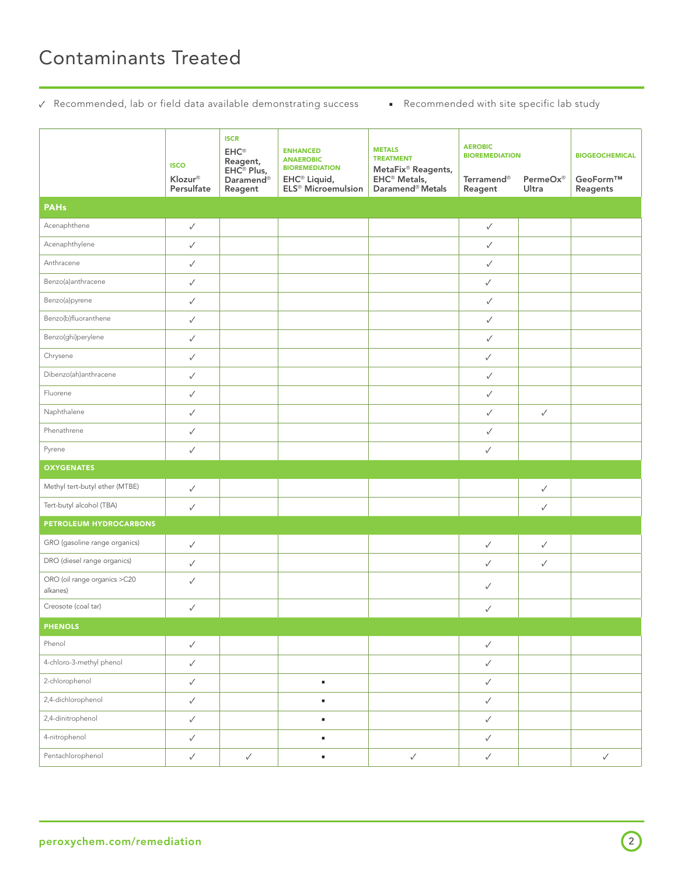## Contaminants Treated

✓ Recommended, lab or field data available demonstrating success ■ Recommended with site specific lab study

|                                          | <b>ISCO</b><br>Klozur®<br>Persulfate | <b>ISCR</b><br>$\mathsf{EHC}^\circ$<br>Reagent,<br>EHC <sup>®</sup> Plus,<br>Daramend <sup>®</sup><br>Reagent | <b>ENHANCED</b><br><b>ANAEROBIC</b><br><b>BIOREMEDIATION</b><br>EHC <sup>®</sup> Liquid,<br>ELS <sup>®</sup> Microemulsion | <b>METALS</b><br><b>TREATMENT</b><br>MetaFix <sup>®</sup> Reagents,<br>EHC <sup>®</sup> Metals,<br>Daramend <sup>®</sup> Metals | <b>AEROBIC</b><br><b>BIOREMEDIATION</b><br>Terramend <sup>®</sup><br>Reagent | PermeOx®<br>Ultra | <b>BIOGEOCHEMICAL</b><br>GeoForm™<br>Reagents |
|------------------------------------------|--------------------------------------|---------------------------------------------------------------------------------------------------------------|----------------------------------------------------------------------------------------------------------------------------|---------------------------------------------------------------------------------------------------------------------------------|------------------------------------------------------------------------------|-------------------|-----------------------------------------------|
| <b>PAHs</b>                              |                                      |                                                                                                               |                                                                                                                            |                                                                                                                                 |                                                                              |                   |                                               |
| Acenaphthene                             | $\checkmark$                         |                                                                                                               |                                                                                                                            |                                                                                                                                 | $\checkmark$                                                                 |                   |                                               |
| Acenaphthylene                           | $\checkmark$                         |                                                                                                               |                                                                                                                            |                                                                                                                                 | ✓                                                                            |                   |                                               |
| Anthracene                               | $\checkmark$                         |                                                                                                               |                                                                                                                            |                                                                                                                                 | ✓                                                                            |                   |                                               |
| Benzo(a)anthracene                       | $\checkmark$                         |                                                                                                               |                                                                                                                            |                                                                                                                                 | $\checkmark$                                                                 |                   |                                               |
| Benzo(a)pyrene                           | $\checkmark$                         |                                                                                                               |                                                                                                                            |                                                                                                                                 | ✓                                                                            |                   |                                               |
| Benzo(b)fluoranthene                     | $\checkmark$                         |                                                                                                               |                                                                                                                            |                                                                                                                                 | $\checkmark$                                                                 |                   |                                               |
| Benzo(ghi)perylene                       | $\checkmark$                         |                                                                                                               |                                                                                                                            |                                                                                                                                 | ✓                                                                            |                   |                                               |
| Chrysene                                 | $\checkmark$                         |                                                                                                               |                                                                                                                            |                                                                                                                                 | $\checkmark$                                                                 |                   |                                               |
| Dibenzo(ah)anthracene                    | $\checkmark$                         |                                                                                                               |                                                                                                                            |                                                                                                                                 | ✓                                                                            |                   |                                               |
| Fluorene                                 | $\checkmark$                         |                                                                                                               |                                                                                                                            |                                                                                                                                 | ✓                                                                            |                   |                                               |
| Naphthalene                              | $\checkmark$                         |                                                                                                               |                                                                                                                            |                                                                                                                                 | ✓                                                                            | $\checkmark$      |                                               |
| Phenathrene                              | $\checkmark$                         |                                                                                                               |                                                                                                                            |                                                                                                                                 | $\checkmark$                                                                 |                   |                                               |
| Pyrene                                   | $\checkmark$                         |                                                                                                               |                                                                                                                            |                                                                                                                                 | $\checkmark$                                                                 |                   |                                               |
| <b>OXYGENATES</b>                        |                                      |                                                                                                               |                                                                                                                            |                                                                                                                                 |                                                                              |                   |                                               |
| Methyl tert-butyl ether (MTBE)           | $\checkmark$                         |                                                                                                               |                                                                                                                            |                                                                                                                                 |                                                                              | $\checkmark$      |                                               |
| Tert-butyl alcohol (TBA)                 | $\checkmark$                         |                                                                                                               |                                                                                                                            |                                                                                                                                 |                                                                              | $\checkmark$      |                                               |
| PETROLEUM HYDROCARBONS                   |                                      |                                                                                                               |                                                                                                                            |                                                                                                                                 |                                                                              |                   |                                               |
| GRO (gasoline range organics)            | $\checkmark$                         |                                                                                                               |                                                                                                                            |                                                                                                                                 | $\checkmark$                                                                 | $\checkmark$      |                                               |
| DRO (diesel range organics)              | $\checkmark$                         |                                                                                                               |                                                                                                                            |                                                                                                                                 | $\checkmark$                                                                 | $\checkmark$      |                                               |
| ORO (oil range organics >C20<br>alkanes) | $\checkmark$                         |                                                                                                               |                                                                                                                            |                                                                                                                                 | $\checkmark$                                                                 |                   |                                               |
| Creosote (coal tar)                      | ✓                                    |                                                                                                               |                                                                                                                            |                                                                                                                                 | $\checkmark$                                                                 |                   |                                               |
| <b>PHENOLS</b>                           |                                      |                                                                                                               |                                                                                                                            |                                                                                                                                 |                                                                              |                   |                                               |
| Phenol                                   | $\checkmark$                         |                                                                                                               |                                                                                                                            |                                                                                                                                 | $\checkmark$                                                                 |                   |                                               |
| 4-chloro-3-methyl phenol                 | $\checkmark$                         |                                                                                                               |                                                                                                                            |                                                                                                                                 | $\checkmark$                                                                 |                   |                                               |
| 2-chlorophenol                           | $\checkmark$                         |                                                                                                               | ×,                                                                                                                         |                                                                                                                                 | $\checkmark$                                                                 |                   |                                               |
| 2,4-dichlorophenol                       | $\checkmark$                         |                                                                                                               | $\blacksquare$                                                                                                             |                                                                                                                                 | $\checkmark$                                                                 |                   |                                               |
| 2,4-dinitrophenol                        | $\checkmark$                         |                                                                                                               | ٠                                                                                                                          |                                                                                                                                 | $\checkmark$                                                                 |                   |                                               |
| 4-nitrophenol                            | $\checkmark$                         |                                                                                                               | ٠                                                                                                                          |                                                                                                                                 | $\checkmark$                                                                 |                   |                                               |
| Pentachlorophenol                        | $\checkmark$                         | $\checkmark$                                                                                                  | ٠                                                                                                                          | $\checkmark$                                                                                                                    | $\checkmark$                                                                 |                   | $\checkmark$                                  |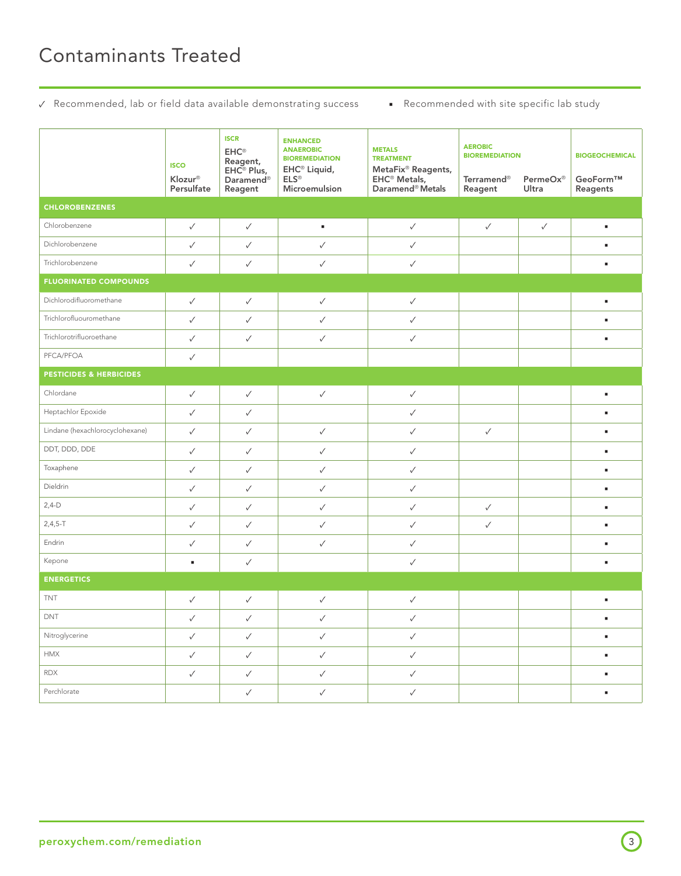✓ Recommended, lab or field data available demonstrating success ■ Recommended with site specific lab study

|                                    | <b>ISCO</b><br>Klozur®<br>Persulfate | <b>ISCR</b><br>$\mathsf{EHC}^\circ$<br>Reagent,<br>EHC® Plus,<br>Daramend <sup>®</sup><br>Reagent | <b>ENHANCED</b><br><b>ANAEROBIC</b><br><b>BIOREMEDIATION</b><br>EHC <sup>®</sup> Liquid,<br>$ELS^{\circledcirc}$<br>Microemulsion | <b>METALS</b><br><b>TREATMENT</b><br>MetaFix® Reagents,<br>EHC <sup>®</sup> Metals,<br>Daramend <sup>®</sup> Metals | <b>AEROBIC</b><br><b>BIOREMEDIATION</b><br>PermeOx®<br><b>Terramend®</b><br>Reagent<br>Ultra |              | <b>BIOGEOCHEMICAL</b><br>GeoForm™<br>Reagents |  |  |
|------------------------------------|--------------------------------------|---------------------------------------------------------------------------------------------------|-----------------------------------------------------------------------------------------------------------------------------------|---------------------------------------------------------------------------------------------------------------------|----------------------------------------------------------------------------------------------|--------------|-----------------------------------------------|--|--|
| <b>CHLOROBENZENES</b>              |                                      |                                                                                                   |                                                                                                                                   |                                                                                                                     |                                                                                              |              |                                               |  |  |
| Chlorobenzene                      | $\checkmark$                         | $\checkmark$                                                                                      | $\bullet$                                                                                                                         | $\checkmark$                                                                                                        | ✓                                                                                            | $\checkmark$ | ٠                                             |  |  |
| Dichlorobenzene                    | $\checkmark$                         | $\checkmark$                                                                                      | $\checkmark$                                                                                                                      | $\checkmark$                                                                                                        |                                                                                              |              | ٠                                             |  |  |
| Trichlorobenzene                   | $\checkmark$                         | $\checkmark$                                                                                      | ✓                                                                                                                                 | $\checkmark$                                                                                                        |                                                                                              |              |                                               |  |  |
| <b>FLUORINATED COMPOUNDS</b>       |                                      |                                                                                                   |                                                                                                                                   |                                                                                                                     |                                                                                              |              |                                               |  |  |
| Dichlorodifluoromethane            | $\checkmark$                         | $\checkmark$                                                                                      | ✓                                                                                                                                 | $\checkmark$                                                                                                        |                                                                                              |              | п                                             |  |  |
| Trichlorofluouromethane            | $\checkmark$                         | $\checkmark$                                                                                      | ✓                                                                                                                                 | $\checkmark$                                                                                                        |                                                                                              |              | ٠                                             |  |  |
| Trichlorotrifluoroethane           | $\checkmark$                         | $\checkmark$                                                                                      | ✓                                                                                                                                 | $\checkmark$                                                                                                        |                                                                                              |              | ٠                                             |  |  |
| PFCA/PFOA                          | $\checkmark$                         |                                                                                                   |                                                                                                                                   |                                                                                                                     |                                                                                              |              |                                               |  |  |
| <b>PESTICIDES &amp; HERBICIDES</b> |                                      |                                                                                                   |                                                                                                                                   |                                                                                                                     |                                                                                              |              |                                               |  |  |
| Chlordane                          | $\checkmark$                         | $\checkmark$                                                                                      | $\checkmark$                                                                                                                      | $\checkmark$                                                                                                        |                                                                                              |              | ٠                                             |  |  |
| Heptachlor Epoxide                 | $\checkmark$                         | $\checkmark$                                                                                      |                                                                                                                                   | $\checkmark$                                                                                                        |                                                                                              |              | ٠                                             |  |  |
| Lindane (hexachlorocyclohexane)    | $\checkmark$                         | $\checkmark$                                                                                      | $\checkmark$                                                                                                                      | $\checkmark$                                                                                                        | $\checkmark$                                                                                 |              | ٠                                             |  |  |
| DDT, DDD, DDE                      | $\checkmark$                         | $\checkmark$                                                                                      | ✓                                                                                                                                 | $\checkmark$                                                                                                        |                                                                                              |              | ٠                                             |  |  |
| Toxaphene                          | $\checkmark$                         | $\checkmark$                                                                                      | $\checkmark$                                                                                                                      | $\checkmark$                                                                                                        |                                                                                              |              | ٠                                             |  |  |
| Dieldrin                           | $\checkmark$                         | $\checkmark$                                                                                      | $\checkmark$                                                                                                                      | $\checkmark$                                                                                                        |                                                                                              |              | ٠                                             |  |  |
| $2,4-D$                            | $\checkmark$                         | $\checkmark$                                                                                      | ✓                                                                                                                                 | $\checkmark$                                                                                                        | ✓                                                                                            |              | ٠                                             |  |  |
| $2,4,5-T$                          | $\checkmark$                         | $\checkmark$                                                                                      | ✓                                                                                                                                 | $\checkmark$                                                                                                        | ✓                                                                                            |              | п                                             |  |  |
| Endrin                             | ✓                                    | $\checkmark$                                                                                      | ✓                                                                                                                                 | $\checkmark$                                                                                                        |                                                                                              |              | ٠                                             |  |  |
| Kepone                             | ٠                                    | $\checkmark$                                                                                      |                                                                                                                                   | $\checkmark$                                                                                                        |                                                                                              |              |                                               |  |  |
| <b>ENERGETICS</b>                  |                                      |                                                                                                   |                                                                                                                                   |                                                                                                                     |                                                                                              |              |                                               |  |  |
| <b>TNT</b>                         | $\checkmark$                         | $\checkmark$                                                                                      | $\checkmark$                                                                                                                      | $\checkmark$                                                                                                        |                                                                                              |              |                                               |  |  |
| DNT                                | $\checkmark$                         | $\checkmark$                                                                                      | $\checkmark$                                                                                                                      | $\checkmark$                                                                                                        |                                                                                              |              |                                               |  |  |
| Nitroglycerine                     | $\checkmark$                         | $\checkmark$                                                                                      | $\checkmark$                                                                                                                      | $\checkmark$                                                                                                        |                                                                                              |              | $\blacksquare$                                |  |  |
| <b>HMX</b>                         | $\checkmark$                         | $\checkmark$                                                                                      | $\checkmark$                                                                                                                      | $\checkmark$                                                                                                        |                                                                                              |              | $\blacksquare$                                |  |  |
| <b>RDX</b>                         | $\checkmark$                         | $\checkmark$                                                                                      | $\checkmark$                                                                                                                      | $\checkmark$                                                                                                        |                                                                                              |              | $\mathbf{r}$                                  |  |  |
| Perchlorate                        |                                      | $\checkmark$                                                                                      | $\checkmark$                                                                                                                      | $\checkmark$                                                                                                        |                                                                                              |              | $\blacksquare$                                |  |  |